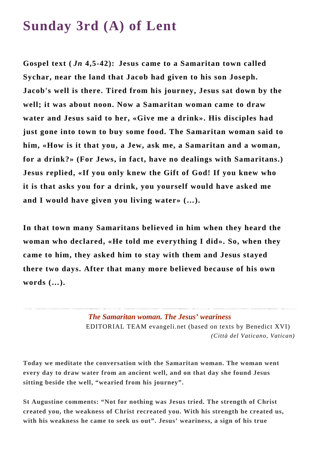## **Sunday 3rd (A) of Lent**

**Gospel text (** *Jn* **4,5-42): Jesus came to a Samaritan town called Sychar, near the land that Jacob had given to his son Joseph. Jacob's well is there. Tired from his journey, Jesus sat down by the well; it was about noon. Now a Samaritan woman came to draw water and Jesus said to her, «Give me a drink». His disciples had just gone into town to buy some food. The Samaritan woman said to him, «How is it that you, a Jew, ask me, a Samaritan and a woman, for a drink?» (For Jews, in fact, have no dealings with Samaritans.) Jesus replied, «If you only knew the Gift of God! If you knew who it is that asks you for a drink, you yourself would have asked me and I would have given you living water» (…).**

**In that town many Samaritans believed in him when they heard the woman who declared, «He told me everything I did». So, when they came to him, they asked him to stay with them and Jesus stayed there two days. After that many more believed because of his own words (…).**

## *The Samaritan woman. The Jesus' weariness*

EDITORIAL TEAM evangeli.net (based on texts by Benedict XVI) *(Città del Vaticano, Vatican)*

**Today we meditate the conversation with the Samaritan woman. The woman went every day to draw water from an ancient well, and on that day she found Jesus sitting beside the well, "wearied from his journey".** 

**St Augustine comments: "Not for nothing was Jesus tried. The strength of Christ created you, the weakness of Christ recreated you. With his strength he created us, with his weakness he came to seek us out". Jesus' weariness, a sign of his true**